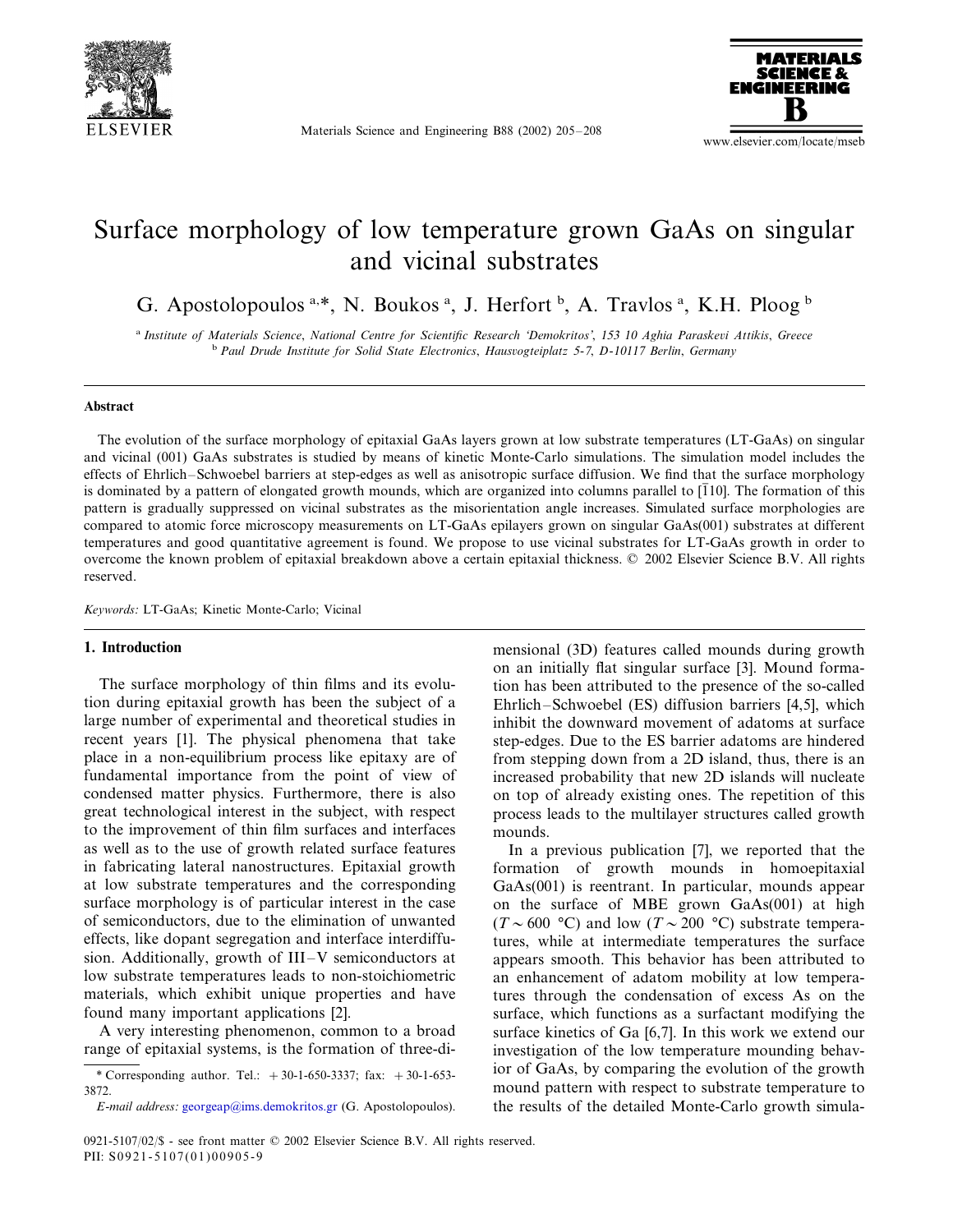

Materials Science and Engineering B88 (2002) 205–208



www.elsevier.com/locate/mseb

# Surface morphology of low temperature grown GaAs on singular and vicinal substrates

G. Apostolopoulos a.\*, N. Boukos a, J. Herfort b, A. Travlos a, K.H. Ploog b

<sup>a</sup> *Institute of Materials Science*, *National Centre for Scientific Research* '*Demokritos*', <sup>153</sup> <sup>10</sup> *Aghia Paraskei Attikis*, *Greece* <sup>b</sup> *Paul Drude Institute for Solid State Electronics*, *Hausogteiplatz* <sup>5</sup>-7, *D*-<sup>10117</sup> *Berlin*, *Germany*

#### **Abstract**

The evolution of the surface morphology of epitaxial GaAs layers grown at low substrate temperatures (LT-GaAs) on singular and vicinal (001) GaAs substrates is studied by means of kinetic Monte-Carlo simulations. The simulation model includes the effects of Ehrlich–Schwoebel barriers at step-edges as well as anisotropic surface diffusion. We find that the surface morphology is dominated by a pattern of elongated growth mounds, which are organized into columns parallel to  $\overline{11}00$ . The formation of this pattern is gradually suppressed on vicinal substrates as the misorientation angle increases. Simulated surface morphologies are compared to atomic force microscopy measurements on LT-GaAs epilayers grown on singular GaAs(001) substrates at different temperatures and good quantitative agreement is found. We propose to use vicinal substrates for LT-GaAs growth in order to overcome the known problem of epitaxial breakdown above a certain epitaxial thickness. © 2002 Elsevier Science B.V. All rights reserved.

*Keywords*: LT-GaAs; Kinetic Monte-Carlo; Vicinal

#### **1. Introduction**

The surface morphology of thin films and its evolution during epitaxial growth has been the subject of a large number of experimental and theoretical studies in recent years [1]. The physical phenomena that take place in a non-equilibrium process like epitaxy are of fundamental importance from the point of view of condensed matter physics. Furthermore, there is also great technological interest in the subject, with respect to the improvement of thin film surfaces and interfaces as well as to the use of growth related surface features in fabricating lateral nanostructures. Epitaxial growth at low substrate temperatures and the corresponding surface morphology is of particular interest in the case of semiconductors, due to the elimination of unwanted effects, like dopant segregation and interface interdiffusion. Additionally, growth of III–V semiconductors at low substrate temperatures leads to non-stoichiometric materials, which exhibit unique properties and have found many important applications [2].

A very interesting phenomenon, common to a broad range of epitaxial systems, is the formation of three-dimensional (3D) features called mounds during growth on an initially flat singular surface [3]. Mound formation has been attributed to the presence of the so-called Ehrlich–Schwoebel (ES) diffusion barriers [4,5], which inhibit the downward movement of adatoms at surface step-edges. Due to the ES barrier adatoms are hindered from stepping down from a 2D island, thus, there is an increased probability that new 2D islands will nucleate on top of already existing ones. The repetition of this process leads to the multilayer structures called growth mounds.

In a previous publication [7], we reported that the formation of growth mounds in homoepitaxial GaAs(001) is reentrant. In particular, mounds appear on the surface of MBE grown GaAs(001) at high  $(T \sim 600$  °C) and low  $(T \sim 200$  °C) substrate temperatures, while at intermediate temperatures the surface appears smooth. This behavior has been attributed to an enhancement of adatom mobility at low temperatures through the condensation of excess As on the surface, which functions as a surfactant modifying the surface kinetics of Ga [6,7]. In this work we extend our investigation of the low temperature mounding behavior of GaAs, by comparing the evolution of the growth mound pattern with respect to substrate temperature to the results of the detailed Monte-Carlo growth simula-

<sup>\*</sup> Corresponding author. Tel.:  $+30-1-650-3337$ ; fax:  $+30-1-653-$ 3872.

*E*-*mail address*: [georgeap@ims.demokritos.gr](mailto:georgeap@ims.demokritos.gr) (G. Apostolopoulos).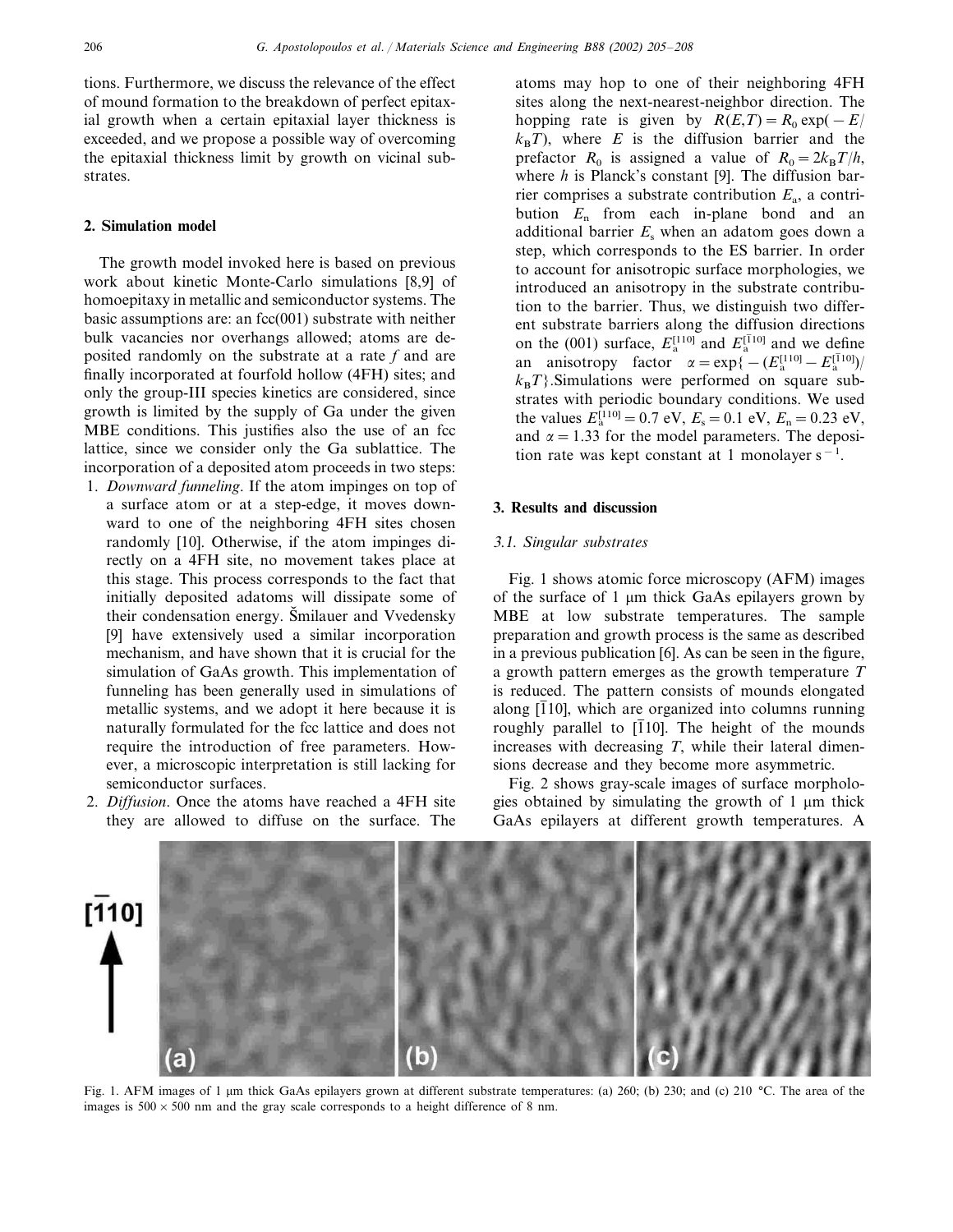tions. Furthermore, we discuss the relevance of the effect of mound formation to the breakdown of perfect epitaxial growth when a certain epitaxial layer thickness is exceeded, and we propose a possible way of overcoming the epitaxial thickness limit by growth on vicinal substrates.

# **2. Simulation model**

The growth model invoked here is based on previous work about kinetic Monte-Carlo simulations [8,9] of homoepitaxy in metallic and semiconductor systems. The basic assumptions are: an  $fcc(001)$  substrate with neither bulk vacancies nor overhangs allowed; atoms are deposited randomly on the substrate at a rate *f* and are finally incorporated at fourfold hollow (4FH) sites; and only the group-III species kinetics are considered, since growth is limited by the supply of Ga under the given MBE conditions. This justifies also the use of an fcc lattice, since we consider only the Ga sublattice. The incorporation of a deposited atom proceeds in two steps:

- 1. *Downward funneling*. If the atom impinges on top of a surface atom or at a step-edge, it moves downward to one of the neighboring 4FH sites chosen randomly [10]. Otherwise, if the atom impinges directly on a 4FH site, no movement takes place at this stage. This process corresponds to the fact that initially deposited adatoms will dissipate some of their condensation energy. Šmilauer and Vvedensky [9] have extensively used a similar incorporation mechanism, and have shown that it is crucial for the simulation of GaAs growth. This implementation of funneling has been generally used in simulations of metallic systems, and we adopt it here because it is naturally formulated for the fcc lattice and does not require the introduction of free parameters. However, a microscopic interpretation is still lacking for semiconductor surfaces.
- 2. *Diffusion*. Once the atoms have reached a 4FH site they are allowed to diffuse on the surface. The

atoms may hop to one of their neighboring 4FH sites along the next-nearest-neighbor direction. The hopping rate is given by  $R(E,T) = R_0 \exp(-E)$  $k_B T$ ), where *E* is the diffusion barrier and the prefactor  $R_0$  is assigned a value of  $R_0 = 2k_B T/h$ , where *h* is Planck's constant [9]. The diffusion barrier comprises a substrate contribution  $E_a$ , a contribution *E*<sup>n</sup> from each in-plane bond and an additional barrier  $E<sub>s</sub>$  when an adatom goes down a step, which corresponds to the ES barrier. In order to account for anisotropic surface morphologies, we introduced an anisotropy in the substrate contribution to the barrier. Thus, we distinguish two different substrate barriers along the diffusion directions on the (001) surface,  $E_{\rm a}^{\rm [110]}$  and  $E_{\rm a}^{\rm [110]}$  and we define an anisotropy factor  $\alpha = \exp\{-(E_a^{[110]} - E_a^{[110]})/$  $k_B T$ . Simulations were performed on square substrates with periodic boundary conditions. We used the values  $E_a^{[110]} = 0.7$  eV,  $E_s = 0.1$  eV,  $E_n = 0.23$  eV, and  $\alpha = 1.33$  for the model parameters. The deposition rate was kept constant at 1 monolayer  $s^{-1}$ .

# **3. Results and discussion**

# 3.1. *Singular substrates*

Fig. 1 shows atomic force microscopy (AFM) images of the surface of  $1 \mu m$  thick GaAs epilayers grown by MBE at low substrate temperatures. The sample preparation and growth process is the same as described in a previous publication [6]. As can be seen in the figure, a growth pattern emerges as the growth temperature *T* is reduced. The pattern consists of mounds elongated along  $\overline{110}$ , which are organized into columns running roughly parallel to  $\overline{110}$ . The height of the mounds increases with decreasing *T*, while their lateral dimensions decrease and they become more asymmetric.

Fig. 2 shows gray-scale images of surface morphologies obtained by simulating the growth of 1  $\mu$ m thick GaAs epilayers at different growth temperatures. A



Fig. 1. AFM images of 1 µm thick GaAs epilayers grown at different substrate temperatures: (a) 260; (b) 230; and (c) 210 °C. The area of the images is  $500 \times 500$  nm and the gray scale corresponds to a height difference of 8 nm.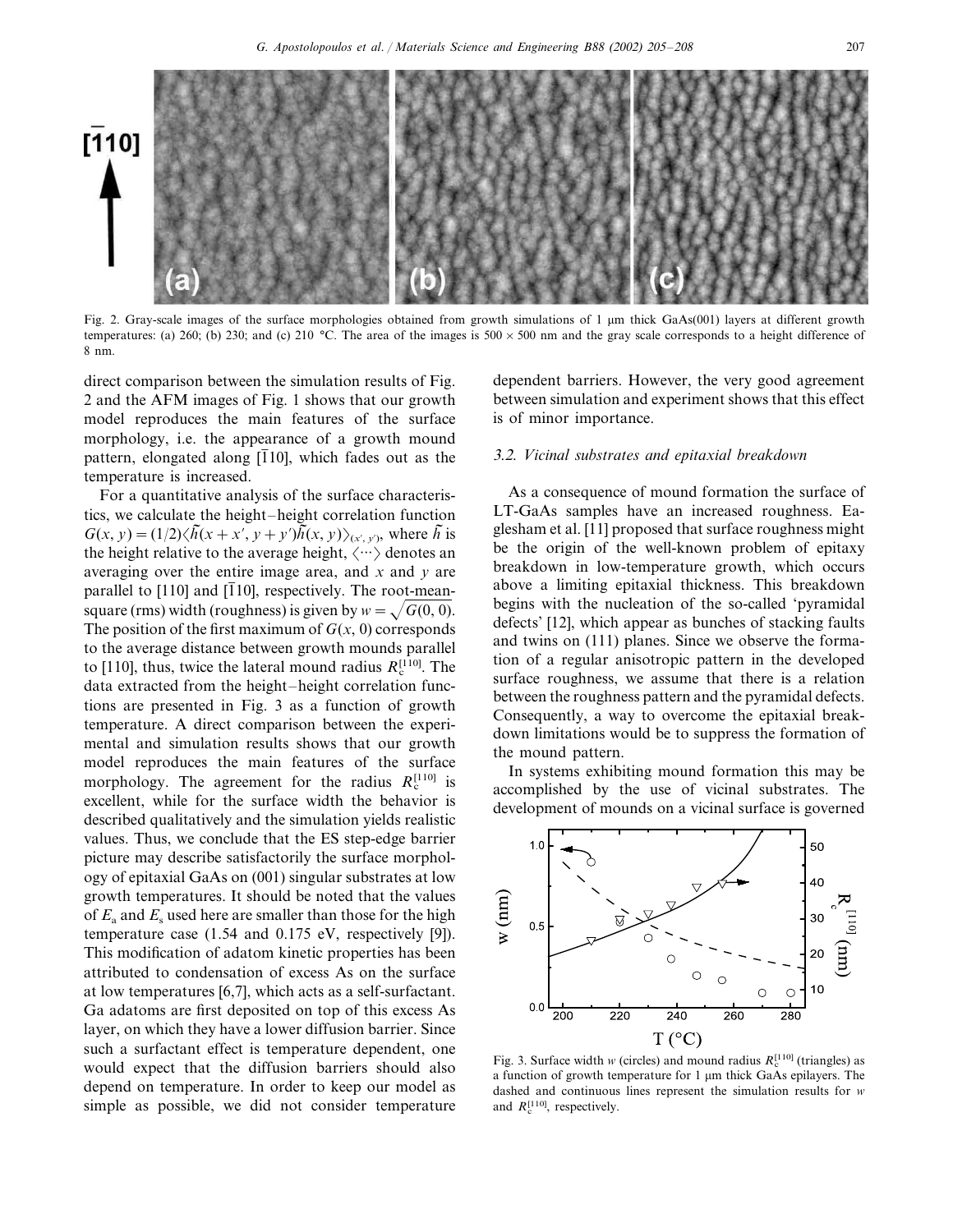



Fig. 2. Gray-scale images of the surface morphologies obtained from growth simulations of 1 µm thick GaAs(001) layers at different growth temperatures: (a) 260; (b) 230; and (c) 210 °C. The area of the images is  $500 \times 500$  nm and the gray scale corresponds to a height difference of 8 nm.

direct comparison between the simulation results of Fig. 2 and the AFM images of Fig. 1 shows that our growth model reproduces the main features of the surface morphology, i.e. the appearance of a growth mound pattern, elongated along  $\overline{11}01$ , which fades out as the temperature is increased.

For a quantitative analysis of the surface characteristics, we calculate the height–height correlation function  $G(x, y) = (1/2)\langle h(x + x', y + y')h(x, y)\rangle_{(x', y')}$ , where *h* is the height relative to the average height,  $\langle \cdots \rangle$  denotes an averaging over the entire image area, and *x* and *y* are parallel to [110] and [110], respectively. The root-meansquare (rms) width (roughness) is given by  $w = \sqrt{G(0, 0)}$ . The position of the first maximum of  $G(x, 0)$  corresponds to the average distance between growth mounds parallel to [110], thus, twice the lateral mound radius  $R_c^{[110]}$ . The data extracted from the height–height correlation functions are presented in Fig. 3 as a function of growth temperature. A direct comparison between the experimental and simulation results shows that our growth model reproduces the main features of the surface morphology. The agreement for the radius  $R_c^{[110]}$  is excellent, while for the surface width the behavior is described qualitatively and the simulation yields realistic values. Thus, we conclude that the ES step-edge barrier picture may describe satisfactorily the surface morphology of epitaxial GaAs on (001) singular substrates at low growth temperatures. It should be noted that the values of  $E_a$  and  $E_s$  used here are smaller than those for the high temperature case (1.54 and 0.175 eV, respectively [9]). This modification of adatom kinetic properties has been attributed to condensation of excess As on the surface at low temperatures [6,7], which acts as a self-surfactant. Ga adatoms are first deposited on top of this excess As layer, on which they have a lower diffusion barrier. Since such a surfactant effect is temperature dependent, one would expect that the diffusion barriers should also depend on temperature. In order to keep our model as simple as possible, we did not consider temperature

dependent barriers. However, the very good agreement between simulation and experiment shows that this effect is of minor importance.

# 3.2. *Vicinal substrates and epitaxial breakdown*

As a consequence of mound formation the surface of LT-GaAs samples have an increased roughness. Eaglesham et al. [11] proposed that surface roughness might be the origin of the well-known problem of epitaxy breakdown in low-temperature growth, which occurs above a limiting epitaxial thickness. This breakdown begins with the nucleation of the so-called 'pyramidal defects' [12], which appear as bunches of stacking faults and twins on (111) planes. Since we observe the formation of a regular anisotropic pattern in the developed surface roughness, we assume that there is a relation between the roughness pattern and the pyramidal defects. Consequently, a way to overcome the epitaxial breakdown limitations would be to suppress the formation of the mound pattern.

In systems exhibiting mound formation this may be accomplished by the use of vicinal substrates. The development of mounds on a vicinal surface is governed



Fig. 3. Surface width *w* (circles) and mound radius  $R_c^{[110]}$  (triangles) as a function of growth temperature for  $1 \mu m$  thick GaAs epilayers. The dashed and continuous lines represent the simulation results for *w* and  $R_c^{[110]}$ , respectively.